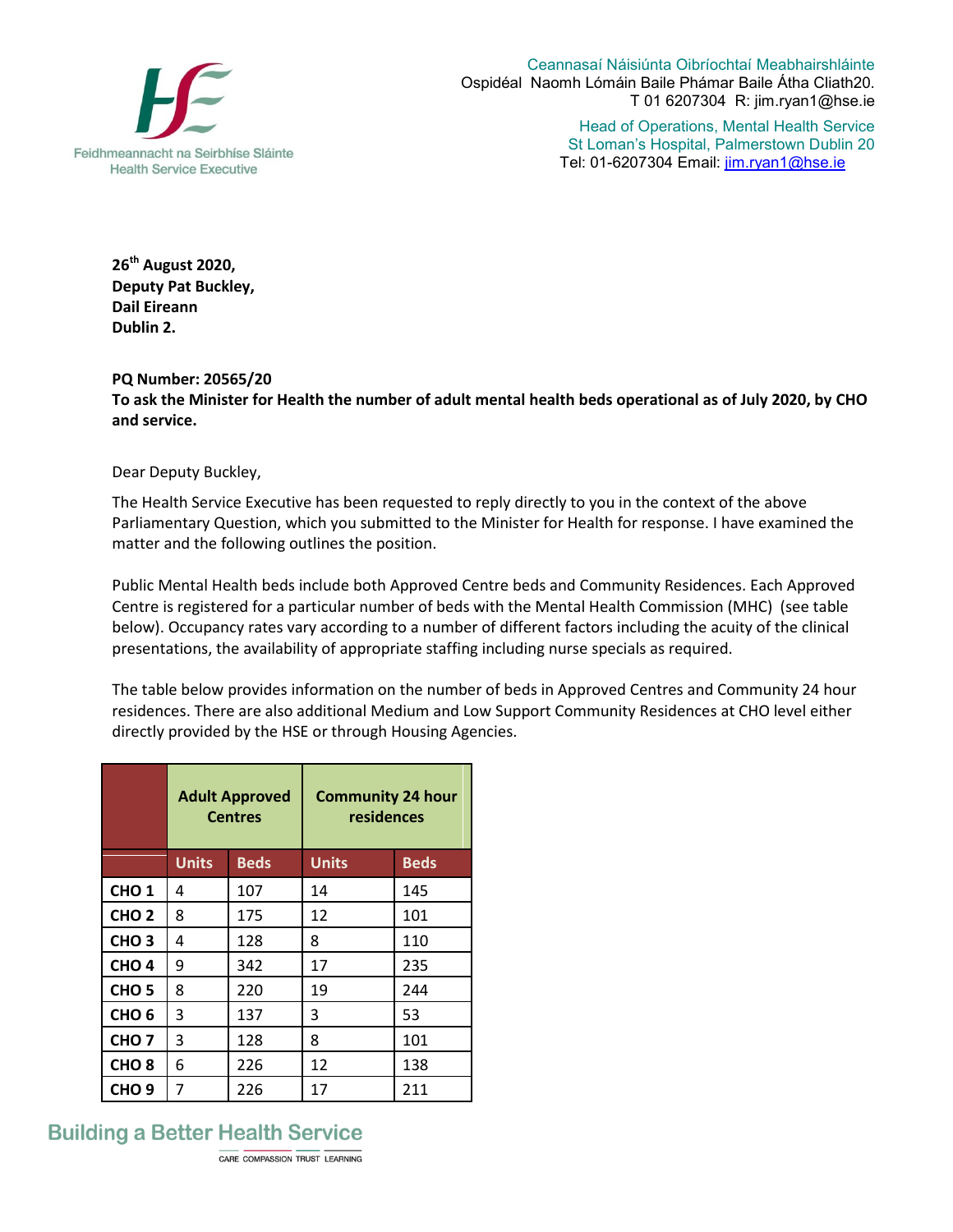

Ceannasaí Náisiúnta Oibríochtaí Meabhairshláinte Ospidéal Naomh Lómáin Baile Phámar Baile Átha Cliath20. T 01 6207304 R: jim.ryan1@hse.ie

> Head of Operations, Mental Health Service St Loman's Hospital, Palmerstown Dublin 20 Tel: 01-6207304 Email: jim.ryan1@hse.ie

**26 th August 2020, Deputy Pat Buckley, Dail Eireann Dublin 2.** 

## **PQ Number: 20565/20**

**To ask the Minister for Health the number of adult mental health beds operational as of July 2020, by CHO and service.**

Dear Deputy Buckley,

The Health Service Executive has been requested to reply directly to you in the context of the above Parliamentary Question, which you submitted to the Minister for Health for response. I have examined the matter and the following outlines the position.

Public Mental Health beds include both Approved Centre beds and Community Residences. Each Approved Centre is registered for a particular number of beds with the Mental Health Commission (MHC) (see table below). Occupancy rates vary according to a number of different factors including the acuity of the clinical presentations, the availability of appropriate staffing including nurse specials as required.

The table below provides information on the number of beds in Approved Centres and Community 24 hour residences. There are also additional Medium and Low Support Community Residences at CHO level either directly provided by the HSE or through Housing Agencies.

|                  | <b>Adult Approved</b><br><b>Centres</b> |             | <b>Community 24 hour</b><br>residences |             |
|------------------|-----------------------------------------|-------------|----------------------------------------|-------------|
|                  | <b>Units</b>                            | <b>Beds</b> | <b>Units</b>                           | <b>Beds</b> |
| CHO <sub>1</sub> | 4                                       | 107         | 14                                     | 145         |
| CHO <sub>2</sub> | 8                                       | 175         | 12                                     | 101         |
| CHO <sub>3</sub> | 4                                       | 128         | 8                                      | 110         |
| CHO <sub>4</sub> | 9                                       | 342         | 17                                     | 235         |
| CHO <sub>5</sub> | 8                                       | 220         | 19                                     | 244         |
| CHO <sub>6</sub> | 3                                       | 137         | 3                                      | 53          |
| CHO <sub>7</sub> | 3                                       | 128         | 8                                      | 101         |
| CHO <sub>8</sub> | 6                                       | 226         | 12                                     | 138         |
| CHO <sub>9</sub> | 7                                       | 226         | 17                                     | 211         |

## **Building a Better Health Service**

CARE COMPASSION TRUST LEARNING